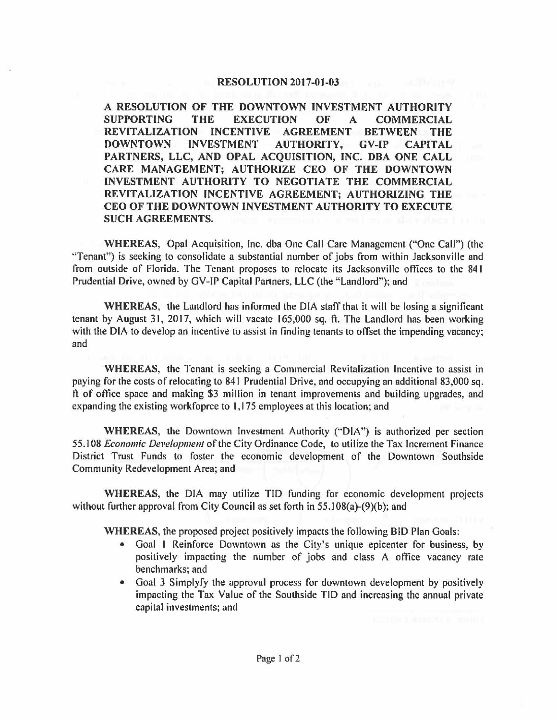## **RESOLUTION 2017-01-03**

**A RESOLUTION OF THE DOWNTOWN INVESTMENT AUTHORITY SUPPORTING THE EXECUTION OF A COMMERCIAL REVITALIZATION INCENTIVE AGREEMENT BETWEEN THE DOWNTOWN INVESTMENT AUTHORITY, GV-IP CAPITAL PARTNERS, LLC, AND OPAL ACQUISITION, INC. OBA ONE CALL CARE MANAGEMENT; AUTHORIZE CEO OF THE DOWNTOWN INVESTMENT AUTHORITY TO NEGOTIATE THE COMMERCIAL REVIT ALIZA Tl ON INCENTIVE AGREEMENT; AUTHORIZING THE CEO OF THE DOWNTOWN INVESTMENT AUTHORITY TO EXECUTE SUCH AGREEMENTS.** 

**WHEREAS,** Opal Acquisition, Inc. dba One Call Care Management ("One Call") (the ''Tenant") is seeking to consolidate a substantial number of jobs from within Jacksonville and from outside of Florida. The Tenant proposes to relocate its Jacksonville offices to the 841 Prudential Drive, owned by GV-IP Capital Partners, LLC (the "Landlord"); and

**WHEREAS,** the Landlord has informed the DIA staff that it will be losing a significant tenant by August 31, 2017, which will vacate 165,000 sq. ft. The Landlord has been working with the DIA to develop an incentive to assist in finding tenants to offset the impending vacancy; and

**WHEREAS,** the Tenant is seeking a Commercial Revitalization Incentive to assist in paying for the costs of relocating to 841 Prudential Drive, and occupying an additional 83,000 sq. ft of office space and making \$3 million in tenant improvements and building upgrades, and expanding the existing workfoprce to I, 175 employees at this location; and

**WHEREAS,** the Downtown Investment Authority ("DIA") is authorized per section 55.108 *Economic Development* of the City Ordinance Code, to utilize the Tax Increment Finance District Trust Funds to foster the economic development of the Downtown Southside Community Redevelopment Area; and

**WHEREAS,** the DIA may utilize TID funding for economic development projects without further approval from City Council as set forth in 55.108(a)-(9)(b); and

**WHEREAS,** the proposed project positively impacts the following BID Plan Goals:

- Goal I Reinforce Downtown as the City's unique epicenter for business, by positively impacting the number of jobs and class A office vacancy rate benchmarks; and
- Goal 3 Simplyfy the approval process for downtown development by positively impacting the Tax Value of the Southside TIO and increasing the annual private capital investments; and